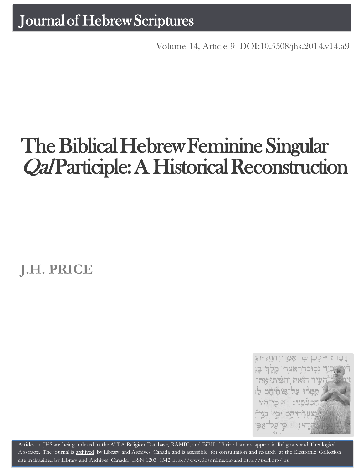Volume 14, Article 9 [DOI:10.5508/jhs.2014.v14.a9](http://dx.doi.org/10.5508/jhs.2014.v14.a9)

# The Biblical Hebrew Feminine Singular Qal Participle: A Historical Reconstruction

**J.H. PRICE**



Artides in JHS are being indexed in the ATLA Religion Database, [RAMBI,](http://jnul.huji.ac.il/rambi/) and [BiBIL.](http://bibil.net/) Their abstracts appear in Religious and Theological Abstracts. The journal is [archived](http://epe.lac-bac.gc.ca/100/201/300/journal_hebrew/index.html) by Library and Archives Canada and is accessible for consultation and research at the Electronic Collection site maintained by [Library and Archives Canada.](http://collectionscanada.ca/electroniccollection/003008-200-e.html) ISSN 1203–1542 [http://www.jhsonline.org](http://www.jhsonline.org/) and<http://purl.org/jhs>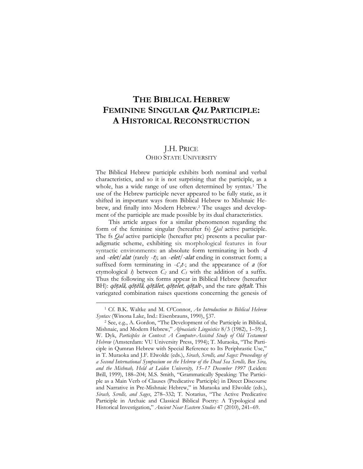# **THE BIBLICAL HEBREW FEMININE SINGULAR QAL PARTICIPLE: A HISTORICAL RECONSTRUCTION**

## J.H. PRICE

### OHIO STATE UNIVERSITY

The Biblical Hebrew participle exhibits both nominal and verbal characteristics, and so it is not surprising that the participle, as a whole, has a wide range of use often determined by syntax.<sup>1</sup> The use of the Hebrew participle never appeared to be fully static, as it shifted in important ways from Biblical Hebrew to Mishnaic Hebrew, and finally into Modern Hebrew.<sup>2</sup> The usages and development of the participle are made possible by its dual characteristics.

This article argues for a similar phenomenon regarding the form of the feminine singular (hereafter fs) *Qal* active participle. The fs *Qal* active participle (hereafter ptc) presents a peculiar paradigmatic scheme, exhibiting six morphological features in four syntactic environments: an absolute form terminating in both -â and *-elet*/*alat* (rarely *-t*); an *-elet*/*-alat* ending in construct form; a suffixed form terminating in  $-C_3t$ ; and the appearance of a (for etymological *i*) between  $C_2$  and  $C_3$  with the addition of a suffix. Thus the following six forms appear in Biblical Hebrew (hereafter BH): qōṭəlâ, qōṭēlâ, qōṭālet, qōṭelet, qōṭalt-, and the rare qōṭalt. This variegated combination raises questions concerning the genesis of

<sup>1</sup> Cf. B.K. Waltke and M. O'Connor, *An Introduction to Biblical Hebrew Syntax* (Winona Lake, Ind.: Eisenbrauns, 1990), §37.

<sup>2</sup> See, e.g., A. Gordon, "The Development of the Participle in Biblical, Mishnaic, and Modern Hebrew," *Afroasiatic Linguistics* 8/3 (1982), 1–59; J. W. Dyk, Participles in Context: A Computer-Assisted Study of Old Testament *Hebrew* (Amsterdam: VU University Press, 1994); T. Muraoka, "The Participle in Qumran Hebrew with Special Reference to Its Periphrastic Use," in T. Muraoka and J.F. Elwolde (eds.), *Sirach, Scrolls, and Sages: Proceedings of a Second International Symposium on the Hebrew of the Dead Sea Scrolls, Ben Sira, and the Mishnah, Held at Leiden University, 15*–*17 December 1997* (Leiden: Brill, 1999), 188–204; M.S. Smith, "Grammatically Speaking: The Participle as a Main Verb of Clauses (Predicative Participle) in Direct Discourse and Narrative in Pre-Mishnaic Hebrew," in Muraoka and Elwolde (eds.), *Sirach, Scrolls, and Sages*, 278–332; T. Notarius, "The Active Predicative Participle in Archaic and Classical Biblical Poetry: A Typological and Historical Investigation," *Ancient Near Eastern Studies* 47 (2010), 241–69.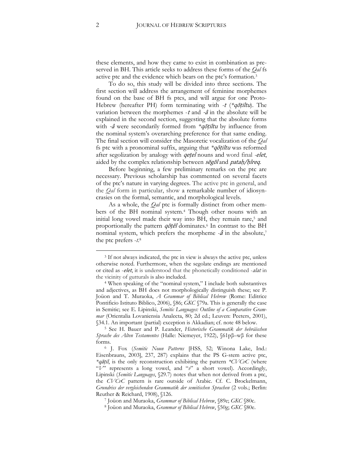these elements, and how they came to exist in combination as preserved in BH. This article seeks to address these forms of the *Qal* fs active ptc and the evidence which bears on the ptc's formation.<sup>3</sup>

To do so, this study will be divided into three sections. The first section will address the arrangement of feminine morphemes found on the base of BH fs ptcs, and will argue for one Proto-Hebrew (hereafter PH) form terminating with *-*<sup>t</sup> (*\**qōṭiltu). The variation between the morphemes  $-t$  and  $-\hat{a}$  in the absolute will be explained in the second section, suggesting that the absolute forms with -â were secondarily formed from *\**qōṭiltu by influence from the nominal system's overarching preference for that same ending. The final section will consider the Masoretic vocalization of the *Qal* fs ptc with a pronominal suffix, arguing that *\**qōṭiltu was reformed after segolization by analogy with qeṭel nouns and word final *-*elet, aided by the complex relationship between segol and patah/hîreq.

Before beginning, a few preliminary remarks on the ptc are necessary. Previous scholarship has commented on several facets of the ptc's nature in varying degrees. The active ptc in general, and the *Qal* form in particular, show a remarkable number of idiosyncrasies on the formal, semantic, and morphological levels.

As a whole, the *Qal* ptc is formally distinct from other members of the BH nominal system.<sup>4</sup> Though other nouns with an initial long vowel made their way into BH, they remain rare,<sup>5</sup> and proportionally the pattern  $q\bar{o}t\bar{e}l$  dominates.<sup>6</sup> In contrast to the BH nominal system, which prefers the morpheme *-*â in the absolute,<sup>7</sup> the ptc prefers -*t*. 8

<sup>3</sup> If not always indicated, the ptc in view is always the active ptc, unless otherwise noted. Furthermore, when the segolate endings are mentioned or cited as -elet, it is understood that the phonetically conditioned -alat in the vicinity of gutturals is also included.

<sup>4</sup> When speaking of the "nominal system," I include both substantives and adjectives, as BH does not morphologically distinguish these; see P. Joüon and T. Muraoka, *A Grammar of Biblical Hebrew* (Rome: Editrice Pontificio Istituto Biblico, 2006), §86; *GKC* §79a. This is generally the case in Semitic; see E. Lipinski, *Semitic Languages: Outline of a Comparative Grammar* (Orientalia Lovaniensia Analecta, 80; 2d ed.; Leuven: Peeters, 2001), §34.1. An important (partial) exception is Akkadian; cf. note 48 below.

<sup>5</sup> See H. Bauer and P. Leander, *Historische Grammatik der hebräischen Sprache des Alten Testamentes* (Halle: Niemeyer, 1922), §61pβ–wβ for these forms.

<sup>6</sup> J. Fox (*Semitic Noun Patterns* [HSS, 52; Winona Lake, Ind.: Eisenbrauns, 2003], 237, 287) explains that the PS G-stem active ptc, *\**qāṭil, is the only reconstruction exhibiting the pattern *\*CVCvC* (where "*V*" represents a long vowel, and "*v*" a short vowel). Accordingly, Lipinski (*Semitic Languages*, §29.7) notes that when not derived from a ptc, the *CVCvC* pattern is rare outside of Arabic. Cf. C. Brockelmann, *Grundriss der vergleichenden Grammatik der semitischen Sprachen* (2 vols.; Berlin: Reuther & Reichard, 1908), §126.

<sup>7</sup> Joüon and Muraoka, *Grammar of Biblical Hebrew*, §89e; *GKC* §80c.

<sup>8</sup> Joüon and Muraoka, *Grammar of Biblical Hebrew*, §50g; *GKC* §80e.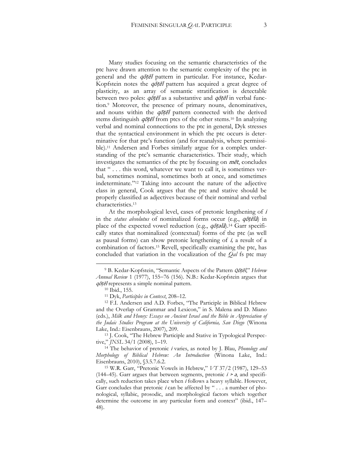Many studies focusing on the semantic characteristics of the ptc have drawn attention to the semantic complexity of the ptc in general and the *qotel* pattern in particular. For instance, Kedar-Kopfstein notes the  $q\bar{o}t\bar{e}l$  pattern has acquired a great degree of plasticity, as an array of semantic stratification is detectable between two poles:  $q\bar{o}t\bar{e}l$  as a substantive and  $q\bar{o}t\bar{e}l$  in verbal function.<sup>9</sup> Moreover, the presence of primary nouns, denominatives, and nouns within the  $q\bar{o}t\bar{e}l$  pattern connected with the derived stems distinguish  $q\bar{o}t\bar{e}l$  from ptcs of the other stems.<sup>10</sup> In analyzing verbal and nominal connections to the ptc in general, Dyk stresses that the syntactical environment in which the ptc occurs is determinative for that ptc's function (and for reanalysis, where permissible).<sup>11</sup> Andersen and Forbes similarly argue for a complex understanding of the ptc's semantic characteristics. Their study, which investigates the semantics of the ptc by focusing on  $m\bar{e}t$ , concludes that " . . . this word, whatever we want to call it, is sometimes verbal, sometimes nominal, sometimes both at once, and sometimes indeterminate*.*" <sup>12</sup> Taking into account the nature of the adjective class in general, Cook argues that the ptc and stative should be properly classified as adjectives because of their nominal and verbal characteristics.<sup>13</sup>

At the morphological level, cases of pretonic lengthening of i in the *status absolutus* of nominalized forms occur (e.g., qōṭēlâ) in place of the expected vowel reduction (e.g., *qōṭəlâ*).<sup>14</sup> Garr specifically states that nominalized (contextual) forms of the ptc (as well as pausal forms) can show pretonic lengthening of i*,* a result of a combination of factors.<sup>15</sup> Revell, specifically examining the ptc, has concluded that variation in the vocalization of the *Qal* fs ptc may

<sup>9</sup> B. Kedar-Kopfstein, "Semantic Aspects of the Pattern Qōṭēl," *Hebrew Annual Review* 1 (1977), 155-76 (156). N.B.: Kedar-Kopfstein argues that qōṭēl represents a simple nominal pattern.

<sup>10</sup> Ibid., 155.

<sup>11</sup> Dyk, *Participles in Context*, 208–12.

<sup>12</sup> F.I. Andersen and A.D. Forbes, "The Participle in Biblical Hebrew and the Overlap of Grammar and Lexicon," in S. Malena and D. Miano (eds.), *Milk and Honey: Essays on Ancient Israel and the Bible in Appreciation of the Judaic Studies Program at the University of California, San Diego* (Winona Lake, Ind.: Eisenbrauns, 2007), 209.

<sup>13</sup> J. Cook, "The Hebrew Participle and Stative in Typological Perspective," *JNSL* 34/1 (2008), 1–19.

<sup>14</sup> The behavior of pretonic <sup>i</sup> varies, as noted by J. Blau, *Phonology and Morphology of Biblical Hebrew: An Introduction* (Winona Lake, Ind.: Eisenbrauns, 2010), §3.5.7.6.2.

<sup>15</sup> W.R. Garr, "Pretonic Vowels in Hebrew," *VT* 37/2 (1987), 129–53 (144–45). Garr argues that between segments, pretonic  $i > a$ , and specifically, such reduction takes place when <sup>i</sup> follows a heavy syllable. However, Garr concludes that pretonic *i* can be affected by " . . . a number of phonological, syllabic, prosodic, and morphological factors which together determine the outcome in any particular form and context" (ibid., 147– 48).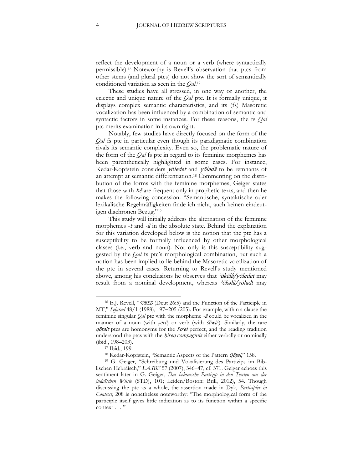reflect the development of a noun or a verb (where syntactically permissible).<sup>16</sup> Noteworthy is Revell's observation that ptcs from other stems (and plural ptcs) do not show the sort of semantically conditioned variation as seen in the *Qal*. 17

These studies have all stressed, in one way or another, the eclectic and unique nature of the *Qal* ptc. It is formally unique, it displays complex semantic characteristics, and its (fs) Masoretic vocalization has been influenced by a combination of semantic and syntactic factors in some instances. For these reasons, the fs *Qal* ptc merits examination in its own right.

Notably, few studies have directly focused on the form of the *Qal* fs ptc in particular even though its paradigmatic combination rivals its semantic complexity. Even so, the problematic nature of the form of the *Qal* fs ptc in regard to its feminine morphemes has been parenthetically highlighted in some cases. For instance, Kedar-Kopfstein considers yôledet and yôladâ to be remnants of an attempt at semantic differentiation.<sup>18</sup> Commenting on the distribution of the forms with the feminine morphemes, Geiger states that those with  $h\hat{e}$  are frequent only in prophetic texts, and then he makes the following concession: "Semantische, syntaktische oder lexikalische Regelmäßigkeiten finde ich nicht, auch keinen eindeutigen diachronen Bezug."<sup>19</sup>

This study will initially address the alternation of the feminine morphemes -<sup>t</sup> and *-*<sup>â</sup> in the absolute state. Behind the explanation for this variation developed below is the notion that the ptc has a susceptibility to be formally influenced by other morphological classes (i.e., verb and noun). Not only is this susceptibility suggested by the *Qal* fs ptc's morphological combination, but such a notion has been implied to lie behind the Masoretic vocalization of the ptc in several cases. Returning to Revell's study mentioned above, among his conclusions he observes that  $\partial \vec{\theta} \cdot \vec{\theta}$  *observes* that  $\partial \vec{\theta} \cdot \vec{\theta}$ result from a nominal development, whereas 'ōkəlâ/yōladt may

<sup>&</sup>lt;sup>16</sup> E.J. Revell, "*OBED* (Deut 26:5) and the Function of the Participle in MT," *Sefarad* 48/1 (1988), 197-205 (205). For example, within a clause the feminine singular *Qal* ptc with the morpheme -â could be vocalized in the manner of a noun (with  $s\bar{e}r\hat{e}$ ) or verb (with  $\check{s}\check{e}w\check{a}$ ). Similarly, the rare qōṭalt ptcs are homonyms for the Po'el perfect, and the reading tradition understood the ptcs with the *hireq compaginis* either verbally or nominally (ibid., 198–203).

<sup>17</sup> Ibid., 199.

<sup>&</sup>lt;sup>18</sup> Kedar-Kopfstein, "Semantic Aspects of the Pattern *Qôtel*," 158.

<sup>19</sup> G. Geiger, "Schreibung und Vokalisierung des Partizips im Biblischen Hebräisch," *LASBF* 57 (2007), 346–47, cf. 371. Geiger echoes this sentiment later in G. Geiger, *Das hebraïsche Partizip in den Texten aus der judaïschen Wüste* (STDJ, 101; Leiden/Boston: Brill, 2012), 54. Though discussing the ptc as a whole, the assertion made in Dyk, *Participles in Context*, 208 is nonetheless noteworthy: "The morphological form of the participle itself gives little indication as to its function within a specific context . . . "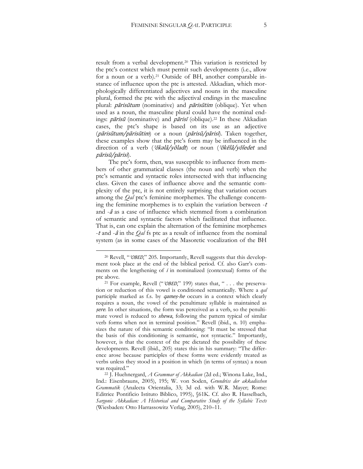result from a verbal development.<sup>20</sup> This variation is restricted by the ptc's context which must permit such developments (i.e., allow for a noun or a verb).<sup>21</sup> Outside of BH, another comparable instance of influence upon the ptc is attested. Akkadian, which morphologically differentiated adjectives and nouns in the masculine plural, formed the ptc with the adjectival endings in the masculine plural: pārisūtum (nominative) and pārisūtim (oblique). Yet when used as a noun, the masculine plural could have the nominal endings: *pārisū* (nominative) and *pārisī* (oblique).<sup>22</sup> In these Akkadian cases, the ptc's shape is based on its use as an adjective (pārisūtum/pārisūtim) or a noun (pārisū/pārisī). Taken together, these examples show that the ptc's form may be influenced in the direction of a verb ('ōkəlâ/yōladt') or noun ('ōkēlâ/yōledet and pārisū/pārisī).

The ptc's form, then, was susceptible to influence from members of other grammatical classes (the noun and verb) when the ptc's semantic and syntactic roles intersected with that influencing class. Given the cases of influence above and the semantic complexity of the ptc, it is not entirely surprising that variation occurs among the *Qal* ptc's feminine morphemes. The challenge concerning the feminine morphemes is to explain the variation between  $-t$ and -<sup>â</sup> as a case of influence which stemmed from a combination of semantic and syntactic factors which facilitated that influence. That is, can one explain the alternation of the feminine morphemes -<sup>t</sup> and -<sup>â</sup> in the *Qal* fs ptc as a result of influence from the nominal system (as in some cases of the Masoretic vocalization of the BH

<sup>&</sup>lt;sup>20</sup> Revell, "*<sup>20</sup>BED*," 205. Importantly, Revell suggests that this development took place at the end of the biblical period. Cf. also Garr's comments on the lengthening of  $i$  in nominalized (contextual) forms of the ptc above.

<sup>&</sup>lt;sup>21</sup> For example, Revell (" $\partial$ OBED," 199) states that, " . . . the preservation or reduction of this vowel is conditioned semantically. Where a *qal* participle marked as f.s. by *qameş-he* occurs in a context which clearly requires a noun, the vowel of the penultimate syllable is maintained as sere. In other situations, the form was perceived as a verb, so the penultimate vowel is reduced to shewa, following the pattern typical of similar verb forms when not in terminal position." Revell (ibid., n. 10) emphasizes the nature of this semantic conditioning: "It must be stressed that the basis of this conditioning is semantic, not syntactic." Importantly, however, is that the context of the ptc dictated the possibility of these developments. Revell (ibid., 205) states this in his summary: "The difference arose because participles of these forms were evidently treated as verbs unless they stood in a position in which (in terms of syntax) a noun was required."

<sup>22</sup> J. Huehnergard, *A Grammar of Akkadian* (2d ed.; Winona Lake, Ind., Ind.: Eisenbrauns, 2005), 195; W. von Soden, *Grundriss der akkadischen Grammatik* (Analecta Orientalia, 33; 3d ed. with W.R. Mayer; Rome: Editrice Pontificio Istituto Biblico, 1995), §61K. Cf. also R. Hasselbach, *Sargonic Akkadian: A Historical and Comparative Study of the Syllabic Texts* (Wiesbaden: Otto Harrassowitz Verlag, 2005), 210–11.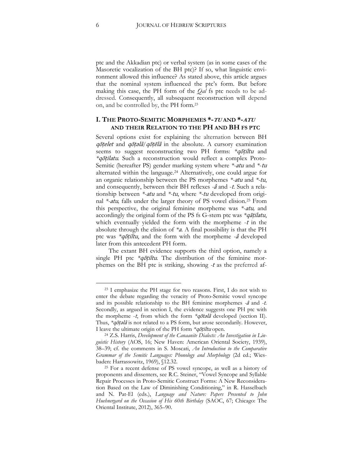ptc and the Akkadian ptc) or verbal system (as in some cases of the Masoretic vocalization of the BH ptc)? If so, what linguistic environment allowed this influence? As stated above, this article argues that the nominal system influenced the ptc's form. But before making this case, the PH form of the *Qal* fs ptc needs to be addressed. Consequently, all subsequent reconstruction will depend on, and be controlled by, the PH form.<sup>23</sup>

#### **I. THE PROTO-SEMITIC MORPHEMES \*-TU AND \*-ATU AND THEIR RELATION TO THE PH AND BH FS PTC**

Several options exist for explaining the alternation between BH qōṭelet and qōṭəlâ*/*qōṭēlâ in the absolute. A cursory examination seems to suggest reconstructing two PH forms: *\**qōṭiltu and *\**qōṭilatu. Such a reconstruction would reflect a complex Proto-Semitic (hereafter PS) gender marking system where *\*-*atu and *\**-tu alternated within the language.<sup>24</sup> Alternatively, one could argue for an organic relationship between the PS morphemes *\*-*atu and *\*-*tu, and consequently, between their BH reflexes *-*<sup>â</sup> and -t. Such a relationship between *\*-*atu and *\*-*tu, where *\*-*tu developed from original *\*-*atu*,* falls under the larger theory of PS vowel elision.<sup>25</sup> From this perspective, the original feminine morpheme was *\*-*atu*,* and accordingly the original form of the PS fs G-stem ptc was *\**qāṭilatu, which eventually yielded the form with the morpheme  $-t$  in the absolute through the elision of *\**a. A final possibility is that the PH ptc was *\**qōṭiltu, and the form with the morpheme *-*<sup>â</sup> developed later from this antecedent PH form.

The extant BH evidence supports the third option, namely a single PH ptc *\*qotiltu*. The distribution of the feminine morphemes on the BH ptc is striking, showing *-*<sup>t</sup> as the preferred af-

<sup>23</sup> I emphasize the PH stage for two reasons. First, I do not wish to enter the debate regarding the veracity of Proto-Semitic vowel syncope and its possible relationship to the BH feminine morphemes *-*<sup>â</sup> and *-*t. Secondly, as argued in section I, the evidence suggests one PH ptc with the morpheme -t, from which the form *\**qōtəlâ developed (section II). Thus, *\**qōṭəlâ is not related to a PS form, but arose secondarily. However, I leave the ultimate origin of the PH form *\**qōṭiltu open.

<sup>24</sup> Z.S. Harris, *Development of the Canaanite Dialects: An Investigation in Linguistic History* (AOS, 16; New Haven: American Oriental Society, 1939), 38–39; cf. the comments in S. Moscati, *An Introduction to the Comparative Grammar of the Semitic Languages: Phonology and Morphology* (2d ed.; Wiesbaden: Harrassowitz, 1969), §12.32.

<sup>25</sup> For a recent defense of PS vowel syncope, as well as a history of proponents and dissenters, see R.C. Steiner, "Vowel Syncope and Syllable Repair Processes in Proto-Semitic Construct Forms: A New Reconsideration Based on the Law of Diminishing Conditioning," in R. Hasselbach and N. Pat-El (eds.), *Language and Nature: Papers Presented to John Huehnergard on the Occasion of His 60th Birthday* (SAOC, 67; Chicago: The Oriental Institute, 2012), 365–90.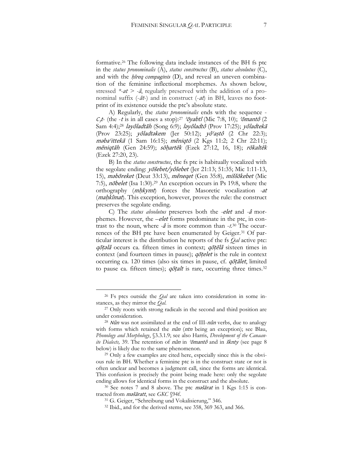formative.<sup>26</sup> The following data include instances of the BH fs ptc in the *status pronominalis* (A), *status constructus* (B), *status absolutus* (C), and with the  $h$ *ireq compaginis* (D), and reveal an uneven combination of the feminine inflectional morphemes. As shown below, stressed *\*-*at *> -*â, regularly preserved with the addition of a pronominal suffix  $(-\bar{a}t)$  and in construct  $(-\bar{a}t)$  in BH, leaves no footprint of its existence outside the ptc's absolute state.

A) Regularly, the *status pronominalis* ends with the sequence -  $C_3t$ - (the -t is in all cases a stop):<sup>27</sup> ' $\delta$ yabtî' (Mic 7:8, 10); ' $\delta$ mantô (2 Sam 4:4);<sup>28</sup> ləyôladtāh (Song 6:9); ləyôladtô (Prov 17:25); yôladtekā (Prov 23:25); yôladtəkem (Jer 50:12); yôʿaṣtô (2 Chr 22:3); məbaʿittekā (1 Sam 16:15); mêniqtô (2 Kgs 11:2; 2 Chr 22:11); mēniqtāh (Gen 24:59); sōḥartēk (Ezek 27:12, 16, 18); rōkaltēk (Ezek 27:20, 23).

B) In the *status constructus*, the fs ptc is habitually vocalized with the segolate ending: yōšebet/yôšebet (Jer 21:13; 51:35; Mic 1:11-13, 15), məbōreket (Deut 33:13), mêneqet (Gen 35:8), miššōkebet (Mic 7:5), *nobelet* (Isa 1:30).<sup>29</sup> An exception occurs in Ps 19:8, where the orthography (mḥkymt) forces the Masoretic vocalization *-*at (*maḥkîmat*). This exception, however, proves the rule: the construct preserves the segolate ending.

C) The *status absolutus* preserves both the *-*elet and *-*<sup>â</sup> morphemes. However, the *–*elet forms predominate in the ptc, in contrast to the noun, where *-*<sup>â</sup> is more common than -*t.*<sup>30</sup> The occurrences of the BH ptc have been enumerated by Geiger.<sup>31</sup> Of particular interest is the distribution he reports of the fs *Qal* active ptc: qōṭəlâ occurs ca. fifteen times in context; qōṭēlâ sixteen times in context (and fourteen times in pause); *qotelet* is the rule in context occurring ca. 120 times (also six times in pause, cf. qōṭālet, limited to pause ca. fifteen times); *qotalt* is rare, occurring three times.<sup>32</sup>

<sup>26</sup> Fs ptcs outside the *Qal* are taken into consideration in some instances, as they mirror the *Qal*.

<sup>&</sup>lt;sup>27</sup> Only roots with strong radicals in the second and third position are under consideration.

 $28$  Nûn was not assimilated at the end of III-nûn verbs, due to analogy with forms which retained the *nûn* (*ntn* being an exception); see Blau, *Phonology and Morphology*, §3.3.1.9; see also Harris, *Development of the Canaanite Dialects,* 39. The retention of nûn in ʾōmantô and in šknty (see page 8 below) is likely due to the same phenomenon.

<sup>&</sup>lt;sup>29</sup> Only a few examples are cited here, especially since this is the obvious rule in BH. Whether a feminine ptc is in the construct state or not is often unclear and becomes a judgment call, since the forms are identical. This confusion is precisely the point being made here: only the segolate ending allows for identical forms in the construct and the absolute.

 $30$  See notes 7 and 8 above. The ptc *mašārat* in 1 Kgs 1:15 is contracted from məšāratt, see *GKC* §94f.

<sup>31</sup> G. Geiger, "Schreibung und Vokalisierung," 346.

<sup>32</sup> Ibid., and for the derived stems, see 358, 369 363, and 366.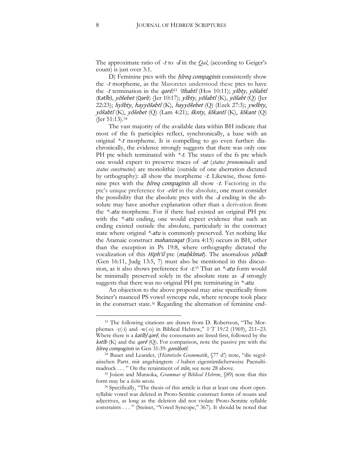The approximate ratio of -<sup>t</sup> to -â in the *Qal*, (according to Geiger's count) is just over 3:1.

D) Feminine ptcs with the *hireq compaginis* consistently show the -<sup>t</sup> morpheme, as the Masoretes understood these ptcs to have the -t termination in the qərê;<sup>33</sup> 'ohabtî (Hos 10:11); ysbty, yosabtî (Kətîb), yösebet (Qərê) (Jer 10:17); ysbty, yösabtî (K), yösabt (Q) (Jer 22:23); hyšbty, hayyōšabtî (K), hayyōšebet (Q) (Ezek 27:3); ywšbty, yôšabtî (K), yôšebet (Q) (Lam 4:21); šknty, šōkantî (K), šōkant (Q) (Jer 51:13).<sup>34</sup>

The vast majority of the available data within BH indicate that most of the fs participles reflect, synchronically, a base with an original *\*-*<sup>t</sup> morpheme. It is compelling to go even further: diachronically, the evidence strongly suggests that there was only one PH ptc which terminated with *\*-*t. The states of the fs ptc which one would expect to preserve traces of *-*at (*status pronominalis* and *status constructus*) are monolithic (outside of one aberration dictated by orthography): all show the morpheme *-t*. Likewise, those feminine ptcs with the *hîreq compaginis* all show -*t*. Factoring in the ptc's unique preference for *-*elet in the absolute, one must consider the possibility that the absolute ptcs with the *-*<sup>â</sup> ending in the absolute may have another explanation other than a derivation from the *\**-atu morpheme. For if there had existed an original PH ptc with the *\*-*atu ending, one would expect evidence that such an ending existed outside the absolute, particularly in the construct state where original *\*-*atu is commonly preserved. Yet nothing like the Aramaic construct məhanzəqat (Ezra 4:15) occurs in BH, other than the exception in Ps 19:8, where orthography dictated the vocalization of this *Hiph<sup>cil</sup>* ptc (*maḥkîmat*). The anomalous *yōladt* (Gen 16:11, Judg 13:5, 7) must also be mentioned in this discussion, as it also shows preference for *-*t. <sup>35</sup> That an *\*-*atu form would be minimally preserved solely in the absolute state as *-*<sup>â</sup> strongly suggests that there was no original PH ptc terminating in *\*-*atu.

An objection to the above proposal may arise specifically from Steiner's nuanced PS vowel syncope rule, where syncope took place in the construct state.<sup>36</sup> Regarding the alternation of feminine end-

<sup>33</sup> The following citations are drawn from D. Robertson, "The Morphemes -y(-i) and -w(-o) in Biblical Hebrew," *VT* 19/2 (1969), 211–23. Where there is a *katîb*/*qarê*, the consonants are listed first, followed by the kətîb (K) and the qərê (Q). For comparison, note the passive ptc with the ḥîreq compaginis in Gen 31:39: gənūbətî*.*

<sup>34</sup> Bauer and Leander, (*Historische Grammatik*, §77 d') note, "die segolatischen Partt. mit angehängtem -<sup>ī</sup> haben eigentümlicherweise Paenultimadruck . . . " On the retainment of nûn, see note 28 above.

<sup>35</sup> Joüon and Muraoka, *Grammar of Biblical Hebrew*, §89j note that this form may be a *lectio mixta.*

<sup>&</sup>lt;sup>36</sup> Specifically, "The thesis of this article is that at least one short opensyllabic vowel was deleted in Proto-Semitic construct forms of nouns and adjectives, as long as the deletion did not violate Proto-Semitic syllable constraints . . . " (Steiner, "Vowel Syncope," 367). It should be noted that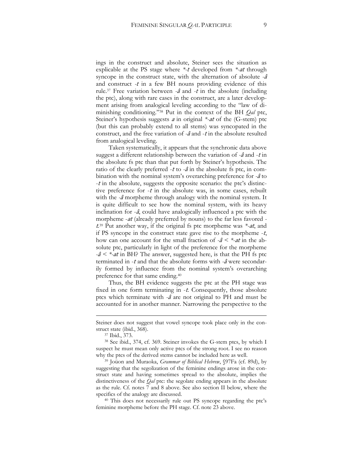ings in the construct and absolute, Steiner sees the situation as explicable at the PS stage where *\*-*<sup>t</sup> developed from *\*-*at through syncope in the construct state, with the alternation of absolute *-*<sup>â</sup> and construct *-*<sup>t</sup> in a few BH nouns providing evidence of this rule.<sup>37</sup> Free variation between *-*<sup>â</sup> and *-*<sup>t</sup> in the absolute (including the ptc), along with rare cases in the construct, are a later development arising from analogical leveling according to the "law of diminishing conditioning."<sup>38</sup> Put in the context of the BH *Qal* ptc, Steiner's hypothesis suggests <sup>a</sup> in original *\*-*at of the (G-stem) ptc (but this can probably extend to all stems) was syncopated in the construct, and the free variation of *-*<sup>â</sup> and -<sup>t</sup> in the absolute resulted from analogical leveling.

Taken systematically, it appears that the synchronic data above suggest a different relationship between the variation of *-*<sup>â</sup> and -<sup>t</sup> in the absolute fs ptc than that put forth by Steiner's hypothesis. The ratio of the clearly preferred -<sup>t</sup> to *-*<sup>â</sup> in the absolute fs ptc, in combination with the nominal system's overarching preference for *-*<sup>â</sup> to -<sup>t</sup> in the absolute, suggests the opposite scenario: the ptc's distinctive preference for  $-t$  in the absolute was, in some cases, rebuilt with the *-*<sup>â</sup> morpheme through analogy with the nominal system. It is quite difficult to see how the nominal system, with its heavy inclination for  $-\hat{a}$ , could have analogically influenced a ptc with the morpheme -at (already preferred by nouns) to the far less favored  t*.* <sup>39</sup> Put another way, if the original fs ptc morpheme was *\*-*at, and if PS syncope in the construct state gave rise to the morpheme  $-t$ , how can one account for the small fraction of *-*<sup>â</sup> *< \*-*at in the absolute ptc, particularly in light of the preference for the morpheme *-*<sup>â</sup> *< \*-*at in BH? The answer, suggested here, is that the PH fs ptc terminated in -<sup>t</sup> and that the absolute forms with *-*<sup>â</sup> were secondarily formed by influence from the nominal system's overarching preference for that same ending.<sup>40</sup>

Thus, the BH evidence suggests the ptc at the PH stage was fixed in one form terminating in  $-t$ . Consequently, those absolute ptcs which terminate with *-*<sup>â</sup> are not original to PH and must be accounted for in another manner. Narrowing the perspective to the

1

<sup>39</sup> Joüon and Muraoka, *Grammar of Biblical Hebrew*, §97Fa (cf. 89d), by suggesting that the segolization of the feminine endings arose in the construct state and having sometimes spread to the absolute, implies the distinctiveness of the *Qal* ptc: the segolate ending appears in the absolute as the rule. Cf. notes 7 and 8 above. See also section II below, where the specifics of the analogy are discussed.

<sup>40</sup> This does not necessarily rule out PS syncope regarding the ptc's feminine morpheme before the PH stage. Cf. note 23 above.

Steiner does not suggest that vowel syncope took place only in the construct state (ibid., 368).

<sup>37</sup> Ibid., 373.

<sup>38</sup> See ibid., 374, cf. 369. Steiner invokes the G-stem ptcs, by which I suspect he must mean only active ptcs of the strong root. I see no reason why the ptcs of the derived stems cannot be included here as well.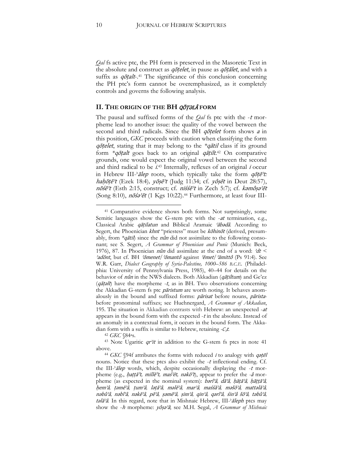*Qal* fs active ptc, the PH form is preserved in the Masoretic Text in the absolute and construct as *qōṭelet*, in pause as *qōṭalet*, and with a suffix as *qotalt*-41 The significance of this conclusion concerning the PH ptc's form cannot be overemphasized, as it completely controls and governs the following analysis.

#### **II. THE ORIGIN OF THE BH** QŌṬƏLÂ **FORM**

The pausal and suffixed forms of the *Qal* fs ptc with the -<sup>t</sup> morpheme lead to another issue: the quality of the vowel between the second and third radicals. Since the BH *qotelet* form shows *a* in this position, *GKC* proceeds with caution when classifying the form qōṭelet, stating that it may belong to the *\**qātil class if its ground form *\**qōṭalt goes back to an original qāṭilt. <sup>42</sup> On comparative grounds, one would expect the original vowel between the second and third radical to be  $i^{43}$  Internally, reflexes of an original i occur in Hebrew III-ʾālep roots, which typically take the form qōṭēʾt*:* haḥōṭēʾ<sup>t</sup> (Ezek 18:4)*,* yōṣēʾ<sup>t</sup> (Judg 11:34; cf. yôṣēt in Deut 28:57), nōśēʾ<sup>t</sup> (Esth 2:15, construct; cf. niśśēʾ<sup>t</sup> in Zech 5:7); cf. kəmôṣəʾēt (Song 8:10),  $n\bar{o} s\hat{o} t$  (1 Kgs 10:22).<sup>44</sup> Furthermore, at least four III-

<sup>42</sup> *GKC* §84as.

<sup>41</sup> Comparative evidence shows both forms. Not surprisingly, some Semitic languages show the G-stem ptc with the -at termination, e.g., Classical Arabic qāṭilatun and Biblical Aramaic 'ābədâ. According to Segert, the Phoenician khnt "priestess" must be kohinot (derived, presumably, from *\**qātil) since the nûn did not assimilate to the following consonant; see S. Segert, *A Grammar of Phoenician and Punic* (Munich: Beck, 1976), 87. In Phoenician *nûn* did assimilate at the end of a word:  $\partial dt$  < ʾadōnt, but cf. BH ʾōmenet*/*ʾōmant<sup>ô</sup> against ʾĕmet/ʾămitt<sup>ô</sup> (Ps 91:4). See W.R. Garr, *Dialect Geography of Syria-Palestine, 1000*–*586 B.C.E.* (Philadelphia: University of Pennsylvania Press, 1985), 40–44 for details on the behavior of nûn in the NWS dialects. Both Akkadian (qāṭiltum) and Ge'ez  $(q \bar{a} t \bar{b})$  have the morpheme -t, as in BH. Two observations concerning the Akkadian G-stem fs ptc *pāristum* are worth noting. It behaves anomalously in the bound and suffixed forms: pārisat before nouns, pāristabefore pronominal suffixes; see Huehnergard, *A Grammar of Akkadian*, 195. The situation in Akkadian contrasts with Hebrew: an unexpected -at appears in the bound form with the expected  $-t$  in the absolute. Instead of an anomaly in a contextual form, it occurs in the bound form. The Akkadian form with a suffix is similar to Hebrew, retaining -C<sub>3</sub>t.

<sup>&</sup>lt;sup>43</sup> Note Ugaritic qr<sup>2</sup>it in addition to the G-stem fs ptcs in note 41 above.

<sup>&</sup>lt;sup>44</sup> *GKC* §94f attributes the forms with reduced *i* to analogy with *qotēl* nouns. Notice that these ptcs also exhibit the -<sup>t</sup> inflectional ending. Cf. the III- $\tilde{a}$ lep words, which, despite occasionally displaying the -t morpheme (e.g., ḥaṭṭā<sup>ʾ</sup>t*,* millē<sup>ʾ</sup>t*,* maśʾēt*,* nəkō<sup>ʾ</sup>t), appear to prefer the *-*<sup>â</sup> morpheme (as expected in the nominal system): bərîʾâ*,* dāʾâ*,* ḥăṭāʾâ*,* ḥāṭṭāʾâ*,*  ḥemʾâ*,* ṭəmēʾâ*,* ṭumʾâ*,* ləṭāʾâ*,* məlēʾâ*,* mar<sup>ʾ</sup>â*,* maśśāʾâ*,* məšōʾâ*,* mattəlāʾâ*,*  nəbûʾâ*,* nəbîʾâ*,* nəkēʾâ*,* pēʾâ*,* ṣəmēʾâ*,* ṣimʾâ*,* qin<sup>ʾ</sup>â*,* qərîʾâ*,* śinʾâ šōʾâ*,* təbûʾâ*,*  təlā'â. In this regard, note that in Mishnaic Hebrew, III-'āleph ptcs may show the -<sup>h</sup> morpheme: yôṣəʾâ; see M.H. Segal, *A Grammar of Mishnaic*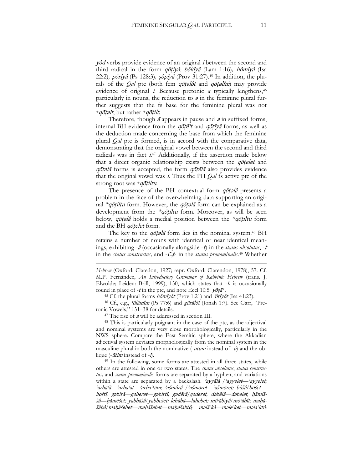yôd verbs provide evidence of an original <sup>i</sup> between the second and third radical in the form qōṭîyâ*:* bôkîyâ (Lam 1:16)*,* hômîyâ (Isa 22:2)*,* pōrîyâ (Ps 128:3)*,* ṣôpîyâ (Prov 31:27).<sup>45</sup> In addition, the plurals of the *Qal* ptc (both fem qōṭəlôt and qōṭəlîm) may provide evidence of original *i*. Because pretonic *a* typically lengthens,<sup>46</sup> particularly in nouns, the reduction to  $\sigma$  in the feminine plural further suggests that the fs base for the feminine plural was not *\**qōṭalt, but rather *\**qōṭilt*.*

Therefore, though  $\bar{a}$  appears in pause and  $a$  in suffixed forms, internal BH evidence from the  $q\bar{\sigma}t\bar{e}$ 't and  $q\bar{\sigma}t\hat{i}y\hat{a}$  forms, as well as the deduction made concerning the base from which the feminine plural *Qal* ptc is formed, is in accord with the comparative data, demonstrating that the original vowel between the second and third radicals was in fact  $i^{47}$  Additionally, if the assertion made below that a direct organic relationship exists between the *qotelet* and qōțəlâ forms is accepted, the form qōțēlâ also provides evidence that the original vowel was i. Thus the PH *Qal* fs active ptc of the strong root was *\**qōṭiltu.

The presence of the BH contextual form *qotala* presents a problem in the face of the overwhelming data supporting an original *\**qōṭiltu form. However, the qōṭəlâ form can be explained as a development from the *\**qōṭiltu form. Moreover, as will be seen below, qōṭəlâ holds a medial position between the *\**qōṭiltu form and the BH *qotelet* form.

The key to the  $q\bar{q}t$ *elâ* form lies in the nominal system.<sup>48</sup> BH retains a number of nouns with identical or near identical meanings, exhibiting *-*<sup>â</sup> (occasionally alongside -t) in the *status absolutus*, -<sup>t</sup> in the *status constructus*, and  $-C_3t$ - in the *status pronominalis*.<sup>49</sup> Whether

<sup>46</sup> Cf., e.g., ʿôlāmîm (Ps 77:6) and gôrālôt (Jonah 1:7)*.* See Garr, "Pretonic Vowels," 131–38 for details.

 $47$  The rise of  $a$  will be addressed in section III.

<u>.</u>

<sup>48</sup> This is particularly poignant in the case of the ptc, as the adjectival and nominal systems are very close morphologically, particularly in the NWS sphere. Compare the East Semitic sphere, where the Akkadian adjectival system deviates morphologically from the nominal system in the masculine plural in both the nominative  $(-\bar{u}tum$  instead of  $-\bar{u}$ ) and the oblique (-*ūtim* instead of -*ī*).

<sup>49</sup> In the following, some forms are attested in all three states, while others are attested in one or two states. The *status absolutus*, *status constructus,* and *status pronominalis* forms are separated by a hyphen, and variations within a state are separated by a backslash. ʾayyālâ */*ʾayyelet*—*ʾayyelet*;*  <sup>ʾ</sup>arbāʿ<sup>â</sup>*—*ʾarba<sup>ʿ</sup>at*—*ʾarbaʿtām*;* ʾašmûrâ */*ʾašmōret*—*ʾašmōret*;* bûšâ*/*bōšet boštî*;* g<sup>ə</sup>bîrâ*—*g<sup>ə</sup>beret*—*g<sup>ə</sup>birtî*;* gədērâ*/*g<sup>ə</sup>deret*;* dǝbēlâ*—*dǝbelet*;* ḥămiššâ*—*ḥămēšet*;* yabbāšâ*/*yabbešet*;* lehābâ*—*lahebet*;* môʾăbîyâ*/*môʾābît*;* maḥăšābâ*/*maḥăšebet*—*maḥăšebet*—*maḥăšabtô*;* məlāʾkâ*—*məleʾket*—*məlaʾktô*;* 

*Hebrew* (Oxford: Claredon, 1927; repr. Oxford: Clarendon, 1978), 57. Cf. M.P. Fernández, *An Introductory Grammar of Rabbinic Hebrew* (trans. J. Elwolde; Leiden: Brill, 1999), 130, which states that -<sup>h</sup> is occasionally found in place of -t in the ptc, and note Eccl 10:5:  $y\bar{o}5\bar{a}$ <sup>3</sup>.

<sup>&</sup>lt;sup>45</sup> Cf. the plural forms  $h\bar{\sigma}m\hat{i}y\hat{o}t$  (Prov 1:21) and  $\hat{i}\sigma\hat{t}y\hat{o}t$  (Isa 41:23).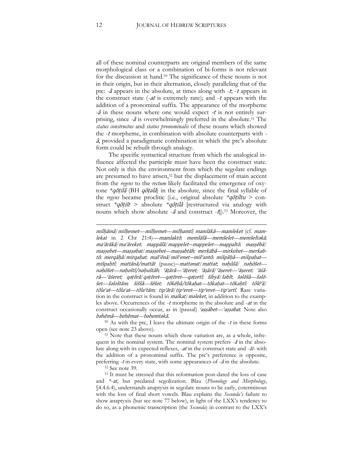all of these nominal counterparts are original members of the same morphological class or a combination of bi-forms is not relevant for the discussion at hand.<sup>50</sup> The significance of these nouns is not in their origin, but in their alternation, closely paralleling that of the ptc: *-*<sup>â</sup> appears in the absolute, at times along with -t; -<sup>t</sup> appears in the construct state  $(-at)$  is extremely rare); and  $-t$  appears with the addition of a pronominal suffix. The appearance of the morpheme *-*<sup>â</sup> in these nouns where one would expect -t is not entirely surprising, since *-*<sup>â</sup> is overwhelmingly preferred in the absolute.<sup>51</sup> The *status constructus* and *status pronominalis* of these nouns which showed the -<sup>t</sup> morpheme, in combination with absolute counterparts with  <sup>â</sup>, provided a paradigmatic combination in which the ptc's absolute form could be rebuilt through analogy.

The specific syntactical structure from which the analogical influence affected the participle must have been the construct state. Not only is this the environment from which the segolate endings are presumed to have arisen,<sup>52</sup> but the displacement of main accent from the *regens* to the *rectum* likely facilitated the emergence of oxytone *\**qōṭilâ (BH qōṭəlâ) in the absolute, since the final syllable of the *regens* became proclitic (i.e., original absolute *\**qōṭíltu *>* construct *\**qōṭilt > absolute *\**qōṭilâ [restructured via analogy with nouns which show absolute  $-\hat{a}$  and construct  $-\hat{t}$ ).<sup>53</sup> Moreover, the

 $50$  As with the ptc, I leave the ultimate origin of the  $-t$  in these forms open (see note 23 above).

<sup>51</sup> Note that these nouns which show variation are, as a whole, infrequent in the nominal system. The nominal system prefers  $-\hat{a}$  in the absolute along with its expected reflexes, -at in the construct state and -āt*-* with the addition of a pronominal suffix. The ptc's preference is opposite, preferring  $-t$  in every state, with some appearances of  $-\hat{a}$  in the absolute.

<sup>52</sup> See note 39.

<sup>53</sup> It must be stressed that this reformation post-dated the loss of case and *\**-at, but predated segolization. Blau (*Phonology and Morphology*, §4.4.6.4), understands anaptyxis in segolate nouns to be early, coterminous with the loss of final short vowels. Blau explains the *Secunda's* failure to show anaptyxis (but see note 77 below), in light of the LXX's tendency to do so, as a phonemic transcription (the *Secunda*) in contrast to the LXX's

<u>.</u>

milḥāmâ*/*milḥemet*—*milḥemet*—*milḥamtî*;* mamlākâ*—*mamleket (cf*.* mamlekat in 2 Chr 21:4)*—*mamlaktô*;* memšālâ*—*memšelet*—*memšeltəkā*;*  maʿărākâ*/*maʿăreket*;* mappālâ*/*mappelet—mappelet*—*mappaltô*;* maṣṣēbâ*/* maṣṣebet*—*maṣṣəbat/maṣṣebet—maṣṣabtāh*;* merkābâ*—*mirkebet*—*merkabtô*;* merqāḥâ*/*mirqaḥat*;* mašʿēnâ*/*mišʿenet—mišʿantô*;* mišpāḥâ*—*mišpaḥat mišpaḥtî*;* mattānâ/mattāt (pause)—mattənat/mattat; nəḥûšâ*/* <sup>n</sup>əḥōšet <sup>n</sup>əḥōšet*—*nəḥoštî/nəḥuštāh*;* ʿăṭārâ*—*ʿăṭeret*;* ʿăṣārâ*/*ʿăṣeret*—*ʿăṣeret*;* ʿăśārâ*—*ʿăśeret*;* qǝṭôrâ*/*qǝṭōret*—*qǝṭōret*—*qəṭortî*;* šibyâ/šəbît; šǝlōšâ*—*šǝlōšet*—*šəloštām*;* šiššâ*—*šēšet*;* tôkēḥâ/tôkaḥat*—*tôkaḥat*—*tôkaḥtî*;* tôlēʿâ*/* tôlaʿat*—*tôlaʿat*—*tôlaʿtām*;* tipʾārâ*/*tipʾeret*—*tipʾeret*—*tipʾartî. Rare variation in the construct is found in *malkat/moleket*, in addition to the examples above. Occurrences of the -<sup>t</sup> morpheme in the absolute and -at in the construct occasionally occur, as in (pausal) ʿaṣṣābet*—*<sup>ʿ</sup>aṣṣəbat. Note also <sup>b</sup>əhēmâ*—*behĕmat—bəhemtəkā.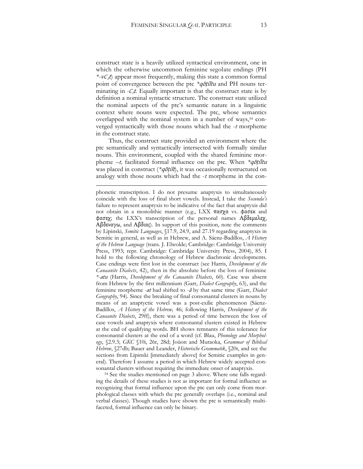construct state is a heavily utilized syntactical environment, one in which the otherwise uncommon feminine segolate endings (PH  $*$ - $vC_3t$ ) appear most frequently, making this state a common formal point of convergence between the ptc *\**qōṭíltu and PH nouns terminating in  $-C_3t$ . Equally important is that the construct state is by definition a nominal syntactic structure. The construct state utilized the nominal aspects of the ptc's semantic nature in a linguistic context where nouns were expected. The ptc, whose semantics overlapped with the nominal system in a number of ways,<sup>54</sup> converged syntactically with those nouns which had the -<sup>t</sup> morpheme in the construct state.

Thus, the construct state provided an environment where the ptc semantically and syntactically intersected with formally similar nouns. This environment, coupled with the shared feminine morpheme –t, facilitated formal influence on the ptc. When *\**qōṭíltu was placed in construct (*\*qōṭilt*), it was occasionally restructured on analogy with those nouns which had the  $-t$  morpheme in the con-

<u>.</u>

<sup>54</sup> See the studies mentioned on page 3 above. Where one falls regarding the details of these studies is not as important for formal influence as recognizing that formal influence upon the ptc can only come from morphological classes with which the ptc generally overlaps (i.e., nominal and verbal classes). Though studies have shown the ptc is semantically multifaceted, formal influence can only be binary.

phonetic transcription. I do not presume anaptyxis to simultaneously coincide with the loss of final short vowels. Instead, I take the *Secunda's* failure to represent anaptyxis to be indicative of the fact that anaptyxis did not obtain in a monolithic manner (e.g., LXX πασχα vs. φασεκ and φασεχ; the LXX's transcription of the personal names Αβδεμελεχ, Αβδεναγω, and Αβδιας). In support of this position, note the comments by Lipinski, *Semitic Languages*, §17.9, 24.9, and 27.19 regarding anaptyxis in Semitic in general, as well as in Hebrew, and A. Sáenz-Badillos, *A History of the Hebrew Language* (trans. J. Elwolde; Cambridge: Cambridge University Press, 1993; repr. Cambridge: Cambridge University Press, 2004), 85. I hold to the following chronology of Hebrew diachronic developments. Case endings were first lost in the construct (see Harris, *Development of the Canaanite Dialects*, 42), then in the absolute before the loss of feminine *\*-*atu (Harris, *Development of the Canaanite Dialects*, 60). Case was absent from Hebrew by the first millennium (Garr, *Dialect Geography*, 63), and the feminine morpheme *-*at had shifted to -<sup>â</sup> by that same time (Garr, *Dialect Geography*, 94). Since the breaking of final consonantal clusters in nouns by means of an anaptyctic vowel was a post-exilic phenomenon (Sáenz-Badillos, *A History of the Hebrew,* 46; following Harris, *Development of the Canaanite Dialects*, 29ff), there was a period of time between the loss of case vowels and anaptyxis where consonantal clusters existed in Hebrew at the end of qualifying words. BH shows remnants of this tolerance for consonantal clusters at the end of a word (cf. Blau, *Phonology and Morphology*, §2.9.3; *GKC* §10i, 26r, 28d; Joüon and Muraoka, *Grammar of Biblical Hebrew*, §27db; Bauer and Leander, *Historische Grammatik*, §20t, and see the sections from Lipinski [immediately above] for Semitic examples in general)*.* Therefore I assume a period in which Hebrew widely accepted consonantal clusters without requiring the immediate onset of anaptyxis.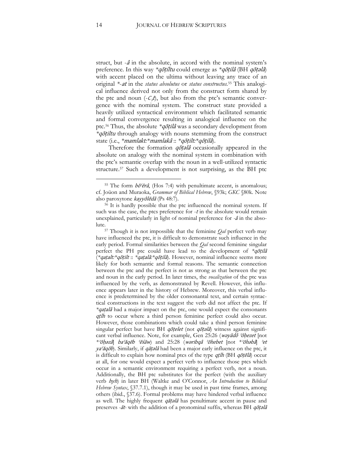struct, but  $-\hat{a}$  in the absolute, in accord with the nominal system's preference. In this way *\**qōṭíltu could emerge as *\**qōṭilâ (BH qōṭəlâ) with accent placed on the ultima without leaving any trace of an original *\**-at in the *status absolutus* or *status constructus.*<sup>55</sup> This analogical influence derived not only from the construct form shared by the ptc and noun  $(-C_3 t)$ , but also from the ptc's semantic convergence with the nominal system. The construct state provided a heavily utilized syntactical environment which facilitated semantic and formal convergence resulting in analogical influence on the ptc.<sup>56</sup> Thus, the absolute *\**qōṭilâ was a secondary development from *\**qōṭiltu through analogy with nouns stemming from the construct state (i.e., *\**mamlakt*:\**mamlakâ :: *\**qōṭilt*:\**qōṭilâ).

Therefore the formation *qotala* occasionally appeared in the absolute on analogy with the nominal system in combination with the ptc's semantic overlap with the noun in a well-utilized syntactic structure.<sup>57</sup> Such a development is not surprising, as the BH ptc

<sup>&</sup>lt;sup>55</sup> The form  $b\bar{o}$ <sup> $\epsilon$ </sup> $\bar{e}$ *i* $\hat{a}$ , (Hos 7:4) with penultimate accent, is anomalous; cf. Joüon and Muraoka, *Grammar of Biblical Hebrew*, §93k; *GKC* §80k. Note also paroxytone kayyôlēdâ (Ps 48:7).

<sup>56</sup> It is hardly possible that the ptc influenced the nominal system. If such was the case, the ptcs preference for  $-t$  in the absolute would remain unexplained, particularly in light of nominal preference for *-*<sup>â</sup> in the absolute.

<sup>57</sup> Though it is not impossible that the feminine *Qal* perfect verb may have influenced the ptc, it is difficult to demonstrate such influence in the early period. Formal similarities between the *Qal* second feminine singular perfect the PH ptc could have lead to the development of *\**qōṭilâ (*\**qaṭalt*:\**qōṭilt :: *\**qaṭalâ*:\**qōṭilâ). However, nominal influence seems more likely for both semantic and formal reasons. The semantic connection between the ptc and the perfect is not as strong as that between the ptc and noun in the early period. In later times, the *vocalization* of the ptc was influenced by the verb, as demonstrated by Revell. However, this influence appears later in the history of Hebrew. Moreover, this verbal influence is predetermined by the older consonantal text, and certain syntactical constructions in the text suggest the verb did not affect the ptc. If *\**qaṭalâ had a major impact on the ptc, one would expect the consonants qtlh to occur where a third person feminine perfect could also occur. However, those combinations which could take a third person feminine singular perfect but have BH qotelet (not qotela) witness against significant verbal influence. Note, for example, Gen 25:26 (wəyādô ʾōḥezet [not *\**ʾōḥəzâ] baʿăqēb ʿēśāw) and 25:28 (wəribqâ ʾōhebet [not *\**ʾōhəbâ] <sup>ʾ</sup>et  $ya'\check{a}q\bar{o}b$ ). Similarly, if  $q\bar{a}t$ elâ had been a major early influence on the ptc, it is difficult to explain how nominal ptcs of the type qtlh (BH qotela) occur at all, for one would expect a perfect verb to influence those ptcs which occur in a semantic environment requiring a perfect verb, not a noun. Additionally, the BH ptc substitutes for the perfect (with the auxiliary verb hyh) in later BH (Waltke and O'Connor, *An Introduction to Biblical Hebrew Syntax*, §37.7.1), though it may be used in past time frames, among others (ibid., §37.6). Formal problems may have hindered verbal influence as well. The highly frequent *qāṭǝlâ* has penultimate accent in pause and preserves *-*āt*-* with the addition of a pronominal suffix, whereas BH qōṭəlâ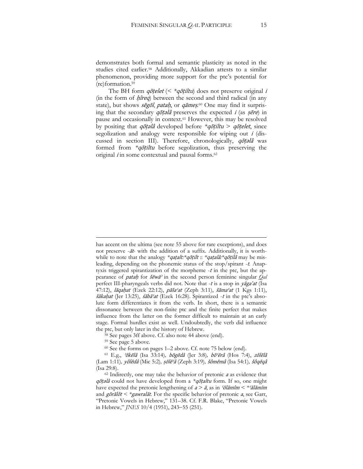demonstrates both formal and semantic plasticity as noted in the studies cited earlier.<sup>58</sup> Additionally, Akkadian attests to a similar phenomenon, providing more support for the ptc's potential for (re)formation.<sup>59</sup>

The BH form qōṭelet (< *\**qōṭiltu) does not preserve original <sup>i</sup> (in the form of *hîreq*) between the second and third radical (in any state), but shows segol, patah, or qāmeș.<sup>60</sup> One may find it surprising that the secondary  $q\bar{o}t$ *elâ* preserves the expected *i* (as  $s\bar{e}re$ ) in pause and occasionally in context.<sup>61</sup> However, this may be resolved by positing that qōṭəlâ developed before *\**qōṭiltu > qōṭelet, since segolization and analogy were responsible for wiping out <sup>i</sup> (discussed in section III). Therefore, chronologically,  $q\bar{o}t$ *elâ* was formed from *\**qōṭiltu before segolization, thus preserving the original  $i$  in some contextual and pausal forms.<sup>62</sup>

1

has accent on the ultima (see note 55 above for rare exceptions), and does not preserve -āt*-* with the addition of a suffix. Additionally, it is worthwhile to note that the analogy *\**qaṭalt*:\**qōṭilt :: *\**qaṭalâ*:\**qōṭilâ may be misleading, depending on the phonemic status of the stop/spirant -t*.* Anaptyxis triggered spirantization of the morpheme  $-t$  in the ptc, but the appearance of pataḥ for šĕwăʾ in the second person feminine singular *Qal* perfect III-pharyngeals verbs did not. Note that -t is a stop in yaga'at (Isa 47:12), lāqaḥat (Ezek 22:12), pāšaʿat (Zeph 3:11), šāmaʿat (1 Kgs 1:11), šākaḥat (Jer 13:25), śābāʿat (Ezek 16:28). Spirantized -t in the ptc's absolute form differentiates it from the verb. In short, there is a semantic dissonance between the non-finite ptc and the finite perfect that makes influence from the latter on the former difficult to maintain at an early stage. Formal hurdles exist as well. Undoubtedly, the verb did influence the ptc, but only later in the history of Hebrew.

<sup>&</sup>lt;sup>58</sup> See pages 3ff above. Cf. also note 44 above (end).

<sup>59</sup> See page 5 above.

<sup>60</sup> See the forms on pages 1–2 above. Cf. note 75 below (end).

<sup>61</sup> E.g., <sup>ʾ</sup>ôkēlâ (Isa 33:14)*,* bōgēdâ (Jer 3:8)*,* bōʿērâ (Hos 7:4), zôlēlâ (Lam 1:11)*,* yôlēdâ (Mic 5:2)*,* ṣōlēʿ<sup>â</sup> (Zeph 3:19)*,* šômēmâ (Isa 54:1)*,* šôqēqâ (Isa 29:8).

 $62$  Indirectly, one may take the behavior of pretonic  $a$  as evidence that qōṭəlâ could not have developed from a *\**qōṭaltu form. If so, one might have expected the pretonic lengthening of  $a > \bar{a}$ , as in  $\delta \bar{a}$  m  $\delta \bar{a}$  =  $*$ and gōrālôt *< \**gawralāt*.* For the specific behavior of pretonic a, see Garr, "Pretonic Vowels in Hebrew," 131–38. Cf. F.R. Blake, "Pretonic Vowels in Hebrew," *JNES* 10/4 (1951), 243-55 (251).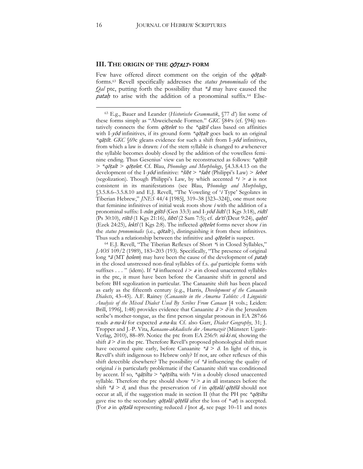#### **III. THE ORIGIN OF THE** QŌṬALT**- FORM**

Few have offered direct comment on the origin of the qōṭaltforms.<sup>63</sup> Revell specifically addresses the *status pronominalis* of the *Qal* ptc, putting forth the possibility that *\**<sup>ā</sup> may have caused the *patah* to arise with the addition of a pronominal suffix.<sup>64</sup> Else-

<sup>64</sup> E.J. Revell, "The Tiberian Reflexes of Short *\**i in Closed Syllables," *JAOS* 109/2 (1989), 183-203 (193). Specifically, "The presence of original long \*ā (MT *ḥolem*) may have been the cause of the development of *pataḥ* in the closed unstressed non-final syllables of f.s. *qal* participle forms with suffixes . . . " (idem). If *\*ā* influenced *i* > *a* in closed unaccented syllables in the ptc, it must have been before the Canaanite shift in general and before BH segolization in particular. The Canaanite shift has been placed as early as the fifteenth century (e.g., Harris, *Development of the Canaanite Dialects*, 43–45). A.F. Rainey (*Canaanite in the Amarna Tablets: A Linguistic Analysis of the Mixed Dialect Used By Scribes From Canaan* [4 vols.; Leiden: Brill, 1996], 1:48) provides evidence that Canaanite  $\bar{a} > \bar{o}$  in the Jerusalem scribe's mother-tongue, as the first person singular pronoun in EA 287:66 reads a-nu-ki for expected a-na-ku*.* Cf. also Garr, *Dialect Geography*, 31; J. Tropper and J.-P. Vita, *Kanaano-akkadische der Amarnazeit* (Münster: Ugarit-Verlag, 2010), 88–89. Notice the ptc from EA 256:9: sú*-*ki*-*ni, showing the shift  $\bar{a} > \bar{o}$  in the ptc. Therefore Revell's proposed phonological shift must have occurred quite early, before Canaanite  $*\bar{a} > \bar{o}$ . In light of this, is Revell's shift indigenous to Hebrew only? If not, are other reflexes of this shift detectible elsewhere? The possibility of *\**<sup>ā</sup> influencing the quality of original *i* is particularly problematic if the Canaanite shift was conditioned by accent. If so, *\**qāṭiltu *> \**qōṭiltu*,* with *\**<sup>i</sup> in a doubly closed unaccented syllable. Therefore the ptc should show  $\overline{\overline{z}}$  in all instances before the shift  $*\bar{a} > \bar{o}$ , and thus the preservation of *i* in  $q\bar{o}t$ *iala*/ $q\bar{o}t\bar{e}l\hat{a}$  should not occur at all, if the suggestion made in section II (that the PH ptc *\**qōṭiltu gave rise to the secondary qōṭəlâ*/*qōṭēlâ after the loss of *\*-*at) is accepted. (For  $\partial$  in  $q\bar{\partial}$ t $\partial$  representing reduced *i* [not *a*], see page 10–11 and notes

<sup>63</sup> E.g., Bauer and Leander (*Historische Grammatik*, §77 d') list some of these forms simply as "Abweichende Formen." *GKC* §84as (cf. §94j) tentatively connects the form qōṭelet to the *\**qāṭil class based on affinities with I-*yôd* infinitives, if its ground form *\*qōṭalt* goes back to an original *\**qāṭilt. *GKC* §69c gleans evidence for such a shift from I-yôd infinitives, from which a law is drawn: *i* of the stem syllable is changed to *a* whenever the syllable becomes doubly closed by the addition of the vowelless feminine ending. Thus Gesenius' view can be reconstructed as follows: *\**qōṭilt *> \**qōṭalt *>* qōṭelet. Cf. Blau, *Phonology and Morphology*, §4.3.8.4.13 on the development of the I-yôd infinitive: *\**šibt > *\**šabt (Philippi's Law) > šebet (segolization). Though Philippi's Law, by which accented *\**<sup>i</sup> *>* <sup>a</sup> is not consistent in its manifestations (see Blau, P*honology and Morphology*, §3.5.8.6–3.5.8.10 and E.J. Revell, "The Voweling of '<sup>i</sup> Type' Segolates in Tiberian Hebrew," *JNES* 44/4 [1985], 319–38 [323–324]), one must note that feminine infinitives of initial weak roots show <sup>i</sup> with the addition of a pronominal suffix: I-nûn gištô (Gen 33:3) and I-yôd lidtî (1 Kgs 3:18), ridtî (Ps 30:10), rištô (1 Kgs 21:16), šibtî (2 Sam 7:5); cf. da'tî (Deut 9:24), qahtî (Ezek 24:25), *lektî* (1 Kgs 2:8). The inflected *qotelet* forms never show *i* in the *status pronominalis* (i.e., qōtalt*-*), distinguishing it from these infinitives. Thus such a relationship between the infinitive and *qotelet* is suspect.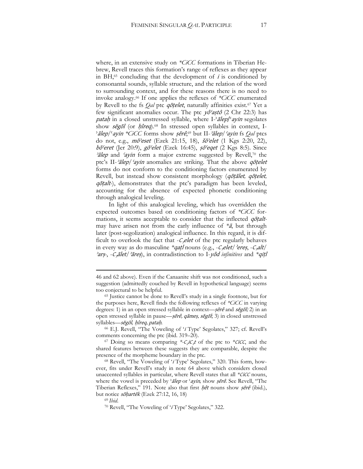where, in an extensive study on *\*CiCC* formations in Tiberian Hebrew, Revell traces this formation's range of reflexes as they appear in BH, $65$  concluding that the development of *i* is conditioned by consonantal sounds, syllable structure, and the relation of the word to surrounding context, and for these reasons there is no need to invoke analogy.<sup>66</sup> If one applies the reflexes of *\*CiCC* enumerated by Revell to the fs *Qal* ptc qōṭelet, naturally affinities exist.<sup>67</sup> Yet a few significant anomalies occur. The ptc  $y\hat{\sigma}$ 'astô (2 Chr 22:3) has pataḥ in a closed unstressed syllable, where I-'ālep/'ayin segolates show segol (or *hîreq*).<sup>68</sup> In stressed open syllables in context, I-ʾālep/ʿayin *\*CiCC* forms show ṣērê, <sup>69</sup> but II-ʾālep/<sup>ʿ</sup>ayin fs *Qal* ptcs do not, e.g., mōʾeset (Ezek 21:15, 18), šōʾelet (1 Kgs 2:20, 22),  $b\bar{o}$ 'eret (Jer 20:9), g $\bar{o}$ 'elet (Ezek 16:45),  $s\bar{o}$ 'eget (2 Kgs 8:5). Since 'alep and 'ayin form a major extreme suggested by Revell,<sup>70</sup> the ptc's II-'ālep/'ayin anomalies are striking. That the above qotelet forms do not conform to the conditioning factors enumerated by Revell, but instead show consistent morphology (qōṭālet*,* qōṭelet*,*  qōṭalt*-*), demonstrates that the ptc's paradigm has been leveled, accounting for the absence of expected phonetic conditioning through analogical leveling.

In light of this analogical leveling, which has overridden the expected outcomes based on conditioning factors of *\*CiCC* formations, it seems acceptable to consider that the inflected qōṭaltmay have arisen not from the early influence of *\**ā, but through later (post-segolization) analogical influence. In this regard, it is difficult to overlook the fact that  $-\mathcal{C}_3$ elet of the ptc regularly behaves in every way as do masculine *\*qatl* nouns (e.g., -C<sub>3</sub>elet/<sup>2</sup>ereș, -C<sub>3</sub>alt/ <sup>2</sup>arṣ-, -C<sub>3</sub>ālet/<sup>2</sup>āreṣ), in contradistinction to I-yôd *infinitives* and *\*qitl* 

<sup>66</sup> E.J. Revell, "The Voweling of '<sup>i</sup> Type' Segolates," 327; cf. Revell's comments concerning the ptc (ibid. 319–20).

<sup>67</sup> Doing so means comparing \*- $C_2iC_3t$  of the ptc to \*CiCC, and the shared features between these suggests they are comparable, despite the presence of the morpheme boundary in the ptc.

<sup>68</sup> Revell, "The Voweling of '<sup>i</sup> Type' Segolates," 320. This form, however, fits under Revell's study in note 64 above which considers closed unaccented syllables in particular, where Revell states that all *\*CiCC* nouns, where the vowel is preceded by *'alep* or '*ayin*, show *şērê*. See Revell, "The Tiberian Reflexes," 191. Note also that first *hêt* nouns show *ṣērê* (ibid.), but notice sōḥartēk (Ezek 27:12, 16, 18)

<sup>69</sup> *Ibid*.

1

<sup>46</sup> and 62 above). Even if the Canaanite shift was not conditioned, such a suggestion (admittedly couched by Revell in hypothetical language) seems too conjectural to be helpful.

<sup>65</sup> Justice cannot be done to Revell's study in a single footnote, but for the purposes here, Revell finds the following reflexes of *\*CiCC* in varying degrees: 1) in an open stressed syllable in context—serê and segol; 2) in an open stressed syllable in pause—ṣērê, qāmeṣ, sĕgōl; 3) in closed unstressed syllables—sĕgōl*,* ḥîreq, pataḥ.

<sup>70</sup> Revell, "The Voweling of '<sup>i</sup> Type' Segolates," 322.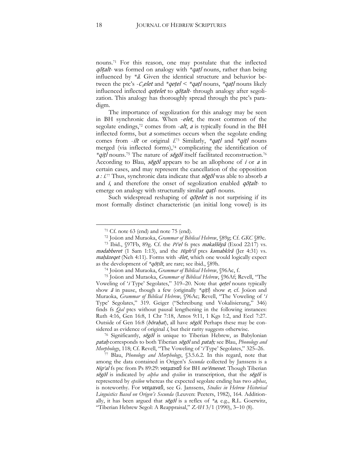nouns. <sup>71</sup> For this reason, one may postulate that the inflected qōṭalt*-* was formed on analogy with *\**qaṭ<sup>l</sup> nouns, rather than being influenced by *\**ā*.* Given the identical structure and behavior between the ptc's -C<sub>3</sub>elet and *\*qetel* < *\*qatl* nouns, *\*qatl* nouns likely influenced inflected qoṭelet to qōṭalt*-* through analogy after segolization. This analogy has thoroughly spread through the ptc's paradigm.

The importance of segolization for this analogy may be seen in BH synchronic data. When -elet, the most common of the segolate endings,<sup>72</sup> comes from *-alt*, *a* is typically found in the BH inflected forms, but <sup>a</sup> sometimes occurs when the segolate ending comes from -ilt or original  $\bar{L}^{73}$  Similarly, *\*qatl* and *\*qitl* nouns merged (via inflected forms),<sup>74</sup> complicating the identification of *\**qiṭl nouns.<sup>75</sup> The nature of sĕgōl itself facilitated reconstruction.<sup>76</sup> According to Blau, *segol* appears to be an allophone of *i* or *a* in certain cases, and may represent the cancellation of the opposition a : i.<sup>77</sup> Thus, synchronic data indicate that segol was able to absorb a and i, and therefore the onset of segolization enabled qōṭalt*-* to emerge on analogy with structurally similar qaṭ<sup>l</sup>*-* nouns.

Such widespread reshaping of *qotelet* is not surprising if its most formally distinct characteristic (an initial long vowel) is its

 $71$  Cf. note 63 (end) and note 75 (end).

<sup>72</sup> Joüon and Muraoka, *Grammar of Biblical Hebrew*, §89g; Cf. *GKC* §89c.

<sup>73</sup> Ibid., §97Fb, 89g. Cf. the Pi'el fs ptcs məkaššēpâ (Exod 22:17) vs. mədabberet (1 Sam 1:13), and the Hiph'il ptcs kəmabkîrâ (Jer 4:31) vs. maḥăzeqet (Neh 4:11). Forms with *-*ēlet, which one would logically expect as the development of *\**qōṭilt, are rare; see ibid., §89h.

<sup>74</sup> Joüon and Muraoka, *Grammar of Biblical Hebrew*, §96Ac, f.

<sup>75</sup> Joüon and Muraoka, *Grammar of Biblical Hebrew*, §96Af; Revell, "The Voweling of '<sup>i</sup> Type' Segolates," 319–20. Note that qeṭel nouns typically show <sup>ā</sup> in pause, though a few (originally *\**qiṭl) show e; cf. Joüon and Muraoka, *Grammar of Biblical Hebrew*, §96Ac; Revell, "The Voweling of '<sup>i</sup> Type' Segolates," 319. Geiger ("Schreibung und Vokalisierung," 346) finds fs *Qal* ptcs without pausal lengthening in the following instances: Ruth 4:16, Gen 16:8, 1 Chr 7:18, Amos 9:11, 1 Kgs 1:2, and Eccl 7:27. Outside of Gen 16:8 (borahat), all have segol. Perhaps these may be considered as evidence of original *i*, but their rarity suggests otherwise.

<sup>&</sup>lt;sup>76</sup> Significantly, *segol* is unique to Tiberian Hebrew, as Babylonian pataḥ corresponds to both Tiberian sĕgōl and pataḥ*;* see Blau, *Phonology and Morphology*, 118; Cf. Revell, "The Voweling of '<sup>i</sup> Type' Segolates," 325–26.

<sup>77</sup> Blau, *Phonology and Morphology*, §3.5.6.2. In this regard, note that among the data contained in Origen's *Secunda* collected by Janssens is a Nip'al fs ptc from Ps 89:29: νεεμαναθ for BH ne'ěmenet. Though Tiberian sĕgōl is indicated by *alpha* and *epsilon* in transcription, that the sĕgōl is represented by *epsilon* whereas the expected segolate ending has two *alphas*, is noteworthy. For νϵϵμαναθ, see G. Janssens, *Studies in Hebrew Historical Linguistics Based on Origen's Secunda* (Leuven: Peeters, 1982), 164. Additionally, it has been argued that sĕgōl is a reflex of *\**a*,* e.g., R.L. Goerwitz, "Tiberian Hebrew Segol: A Reappraisal," *ZAH* 3/1 (1990), 3-10 (8).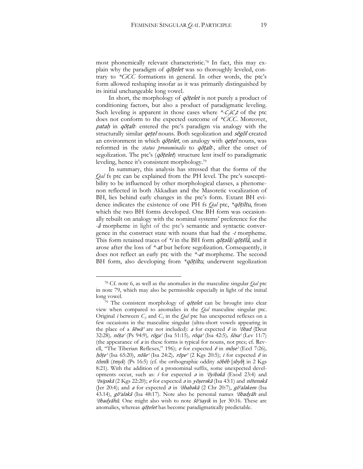most phonemically relevant characteristic.<sup>78</sup> In fact, this may explain why the paradigm of *qotelet* was so thoroughly leveled, contrary to *\*CiCC* formations in general. In other words, the ptc's form allowed reshaping insofar as it was primarily distinguished by its initial unchangeable long vowel.

In short, the morphology of *qotelet* is not purely a product of conditioning factors, but also a product of paradigmatic leveling. Such leveling is apparent in those cases where  $\sqrt[k]{c_j}t$  of the ptc does not conform to the expected outcome of *\*CiCC*. Moreover, patah in qōtalt- entered the ptc's paradigm via analogy with the structurally similar *qetel* nouns. Both segolization and *segol* created an environment in which *qōṭelet*, on analogy with *qeṭel* nouns, was reformed in the *status pronominalis* to qōṭalt*-*, after the onset of segolization. The ptc's (*qōṭelet*) structure lent itself to paradigmatic leveling, hence it's consistent morphology.<sup>79</sup>

In summary, this analysis has stressed that the forms of the *Qal* fs ptc can be explained from the PH level. The ptc's susceptibility to be influenced by other morphological classes, a phenomenon reflected in both Akkadian and the Masoretic vocalization of BH, lies behind early changes in the ptc's form. Extant BH evidence indicates the existence of one PH fs *Qal* ptc, *\**qōṭiltu, from which the two BH forms developed. One BH form was occasionally rebuilt on analogy with the nominal systems' preference for the *-*<sup>â</sup> morpheme in light of the ptc's semantic and syntactic convergence in the construct state with nouns that had the *-t* morpheme. This form retained traces of *\**<sup>i</sup> in the BH form qōṭəlâ*/*qōṭēlâ, and it arose after the loss of *\*-*at but before segolization. Consequently, it does not reflect an early ptc with the *\*-*at morpheme. The second BH form, also developing from *\*qōṭiltu*, underwent segolization

<sup>78</sup> Cf. note 6, as well as the anomalies in the masculine singular *Qal* ptc in note 79, which may also be permissible especially in light of the initial long vowel.

 $79$  The consistent morphology of *qotelet* can be brought into clear view when compared to anomalies in the *Qal* masculine singular ptc. Original *i* between  $C_2$  and  $C_3$  in the  $Qal$  ptc has unexpected reflexes on a few occasions in the masculine singular (ultra-short vowels appearing in the place of a  $\check{s}$ ewa<sup>3</sup> are not included): a for expected  $\bar{e}$  in  $\check{c}$ obad (Deut 32:28)*,* nōṭa<sup>ʿ</sup> (Ps 94:9)*,* rōgaʿ (Isa 51:15)*,* rōqaʿ (Isa 42:5)*,* šōsaʿ (Lev 11:7) (the appearance of <sup>a</sup> in these forms is typical for nouns, not ptcs; cf. Revell, "The Tiberian Reflexes," 196); *e* for expected  $\bar{e}$  in  $m\hat{o}$ se' (Eccl 7:26)*,* ḥôṭe<sup>ʾ</sup> (Isa 65:20), nōšeʾ (Isa 24:2)*,* rōpeʾ (2 Kgs 20:5); <sup>i</sup> for expected <sup>ē</sup> in tômîk (tmyk) (Ps 16:5) (cf. the orthographic oddity sobêb [sbyb] in 2 Kgs 8:21)*.* With the addition of a pronominal suffix, some unexpected developments occur, such as: i for expected  $\partial$  in ' $\partial$ yib $\partial$ kā (Exod 23:4) and  $\partial \sigma$ sipəkā (2 Kgs 22:20); e for expected  $\partial \sigma$  in  $\partial \sigma$ serəkā (Isa 43:1) and notenəkā (Jer 20:4); and a for expected  $\partial$  in 'ōhabəkā (2 Chr 20:7), gō'aləkem (Isa 43.14), gō'aləkā (Isa 48:17). Note also he personal names 'ōbadyāh and 'ōbadyāhû. One might also wish to note šō'sayik in Jer 30:16. These are anomalies, whereas *qotelet* has become paradigmatically predictable.